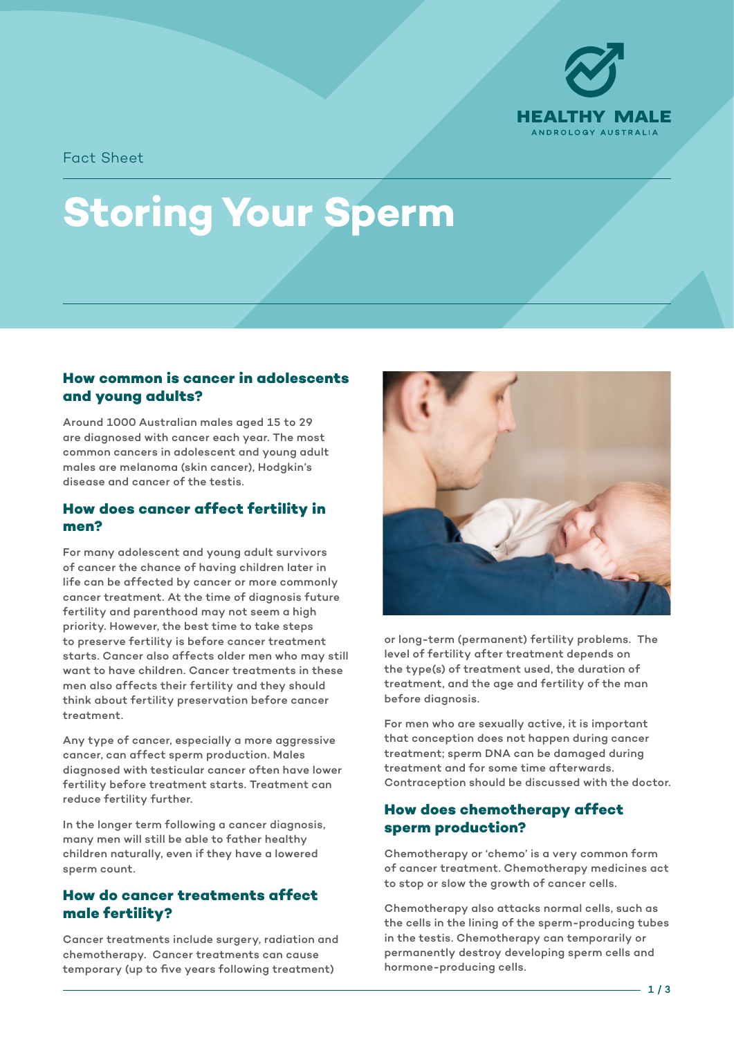

Fact Sheet

# **Storing Your Sperm**

## **How common is cancer in adolescents and young adults?**

Around 1000 Australian males aged 15 to 29 are diagnosed with cancer each year. The most common cancers in adolescent and young adult males are melanoma (skin cancer), Hodgkin's disease and cancer of the testis.

#### **How does cancer affect fertility in men?**

For many adolescent and young adult survivors of cancer the chance of having children later in life can be affected by cancer or more commonly cancer treatment. At the time of diagnosis future fertility and parenthood may not seem a high priority. However, the best time to take steps to preserve fertility is before cancer treatment starts. Cancer also affects older men who may still want to have children. Cancer treatments in these men also affects their fertility and they should think about fertility preservation before cancer treatment.

Any type of cancer, especially a more aggressive cancer, can affect sperm production. Males diagnosed with testicular cancer often have lower fertility before treatment starts. Treatment can reduce fertility further.

In the longer term following a cancer diagnosis, many men will still be able to father healthy children naturally, even if they have a lowered sperm count.

# **How do cancer treatments affect male fertility?**

Cancer treatments include surgery, radiation and chemotherapy. Cancer treatments can cause temporary (up to five years following treatment)



or long-term (permanent) fertility problems. The level of fertility after treatment depends on the type(s) of treatment used, the duration of treatment, and the age and fertility of the man before diagnosis.

For men who are sexually active, it is important that conception does not happen during cancer treatment; sperm DNA can be damaged during treatment and for some time afterwards. Contraception should be discussed with the doctor.

## **How does chemotherapy affect sperm production?**

Chemotherapy or 'chemo' is a very common form of cancer treatment. Chemotherapy medicines act to stop or slow the growth of cancer cells.

Chemotherapy also attacks normal cells, such as the cells in the lining of the sperm-producing tubes in the testis. Chemotherapy can temporarily or permanently destroy developing sperm cells and hormone-producing cells.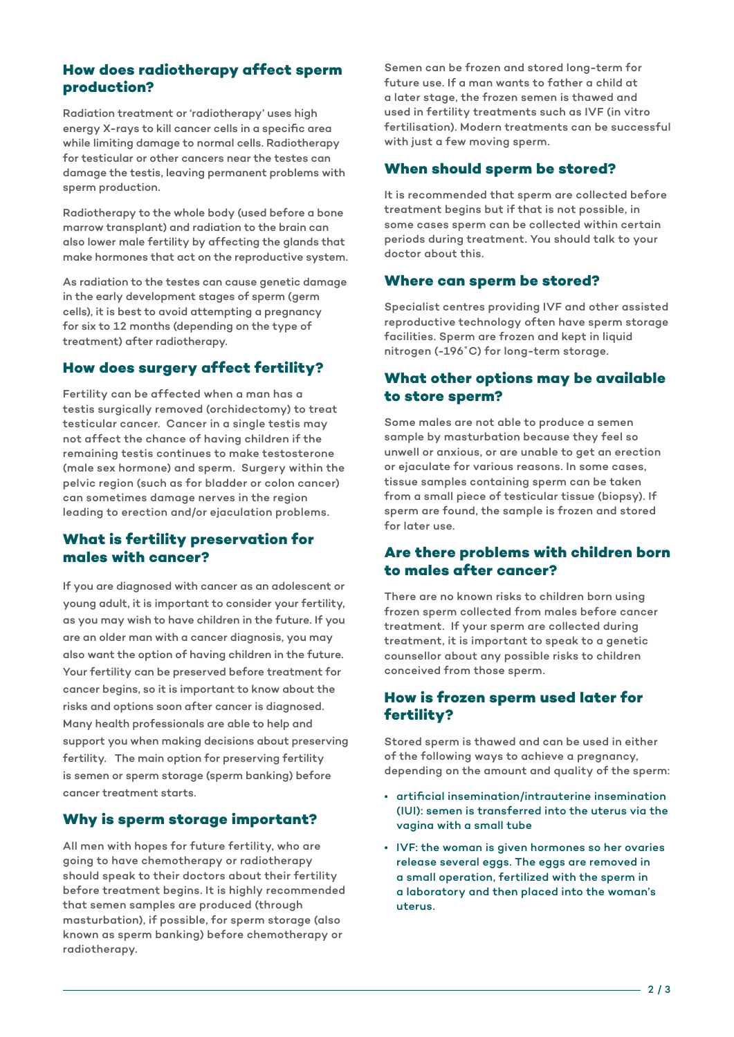#### **How does radiotherapy affect sperm production?**

Radiation treatment or 'radiotherapy' uses high energy X-rays to kill cancer cells in a specific area while limiting damage to normal cells. Radiotherapy for testicular or other cancers near the testes can damage the testis, leaving permanent problems with sperm production.

Radiotherapy to the whole body (used before a bone marrow transplant) and radiation to the brain can also lower male fertility by affecting the glands that make hormones that act on the reproductive system.

As radiation to the testes can cause genetic damage in the early development stages of sperm (germ cells), it is best to avoid attempting a pregnancy for six to 12 months (depending on the type of treatment) after radiotherapy.

# **How does surgery affect fertility?**

Fertility can be affected when a man has a testis surgically removed (orchidectomy) to treat testicular cancer. Cancer in a single testis may not affect the chance of having children if the remaining testis continues to make testosterone (male sex hormone) and sperm. Surgery within the pelvic region (such as for bladder or colon cancer) can sometimes damage nerves in the region leading to erection and/or ejaculation problems.

#### **What is fertility preservation for males with cancer?**

If you are diagnosed with cancer as an adolescent or young adult, it is important to consider your fertility, as you may wish to have children in the future. If you are an older man with a cancer diagnosis, you may also want the option of having children in the future. Your fertility can be preserved before treatment for cancer begins, so it is important to know about the risks and options soon after cancer is diagnosed. Many health professionals are able to help and support you when making decisions about preserving fertility. The main option for preserving fertility is semen or sperm storage (sperm banking) before cancer treatment starts.

# **Why is sperm storage important?**

All men with hopes for future fertility, who are going to have chemotherapy or radiotherapy should speak to their doctors about their fertility before treatment begins. It is highly recommended that semen samples are produced (through masturbation), if possible, for sperm storage (also known as sperm banking) before chemotherapy or radiotherapy.

Semen can be frozen and stored long-term for future use. If a man wants to father a child at a later stage, the frozen semen is thawed and used in fertility treatments such as IVF (in vitro fertilisation). Modern treatments can be successful with just a few moving sperm.

### **When should sperm be stored?**

It is recommended that sperm are collected before treatment begins but if that is not possible, in some cases sperm can be collected within certain periods during treatment. You should talk to your doctor about this.

#### **Where can sperm be stored?**

Specialist centres providing IVF and other assisted reproductive technology often have sperm storage facilities. Sperm are frozen and kept in liquid nitrogen (-196˚C) for long-term storage.

## **What other options may be available to store sperm?**

Some males are not able to produce a semen sample by masturbation because they feel so unwell or anxious, or are unable to get an erection or ejaculate for various reasons. In some cases, tissue samples containing sperm can be taken from a small piece of testicular tissue (biopsy). If sperm are found, the sample is frozen and stored for later use.

#### **Are there problems with children born to males after cancer?**

There are no known risks to children born using frozen sperm collected from males before cancer treatment. If your sperm are collected during treatment, it is important to speak to a genetic counsellor about any possible risks to children conceived from those sperm.

#### **How is frozen sperm used later for fertility?**

Stored sperm is thawed and can be used in either of the following ways to achieve a pregnancy, depending on the amount and quality of the sperm:

- artificial insemination/intrauterine insemination (IUI): semen is transferred into the uterus via the vagina with a small tube
- IVF: the woman is given hormones so her ovaries release several eggs. The eggs are removed in a small operation, fertilized with the sperm in a laboratory and then placed into the woman's uterus.